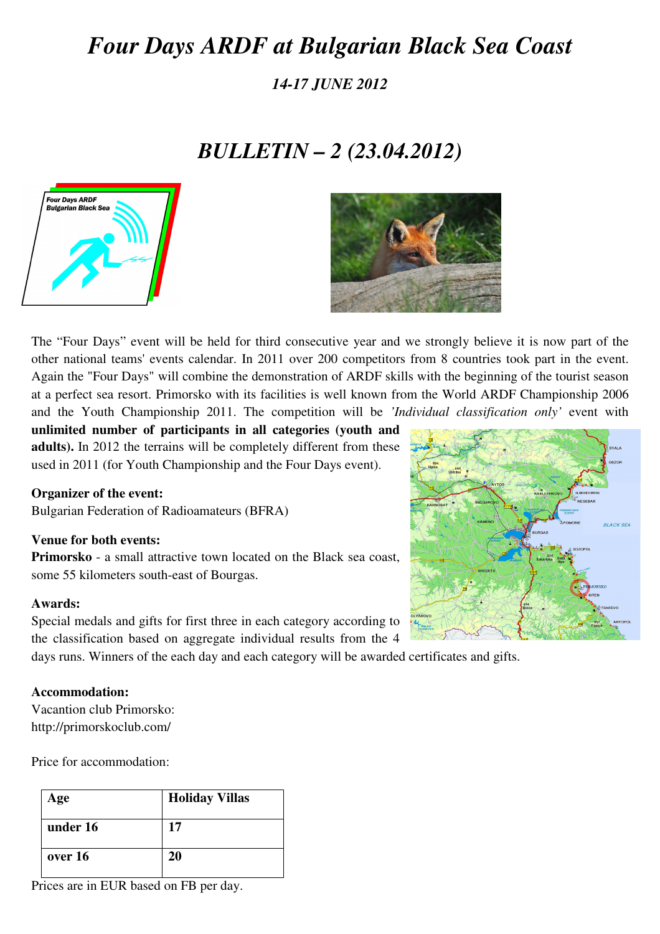# *Four Days ARDF at Bulgarian Black Sea Coast*

*14-17 JUNE 2012* 

## *BULLETIN – 2 (23.04.2012)*





The "Four Days" event will be held for third consecutive year and we strongly believe it is now part of the other national teams' events calendar. In 2011 over 200 competitors from 8 countries took part in the event. Again the "Four Days" will combine the demonstration of ARDF skills with the beginning of the tourist season at a perfect sea resort. Primorsko with its facilities is well known from the World ARDF Championship 2006 and the Youth Championship 2011. The competition will be *'Individual classification only'* event with

**unlimited number of participants in all categories (youth and adults).** In 2012 the terrains will be completely different from these used in 2011 (for Youth Championship and the Four Days event).

#### **Organizer of the event:**

Bulgarian Federation of Radioamateurs (BFRA)

#### **Venue for both events:**

**Primorsko** - a small attractive town located on the Black sea coast, some 55 kilometers south-east of Bourgas.

#### **Awards:**

Special medals and gifts for first three in each category according to the classification based on aggregate individual results from the 4

days runs. Winners of the each day and each category will be awarded certificates and gifts.

#### **Accommodation:**

Vacantion club Primorsko: http://primorskoclub.com/

Price for accommodation:

| Age      | <b>Holiday Villas</b> |  |  |
|----------|-----------------------|--|--|
| under 16 | 17                    |  |  |
| over 16  | 20                    |  |  |

Prices are in EUR based on FB per day.

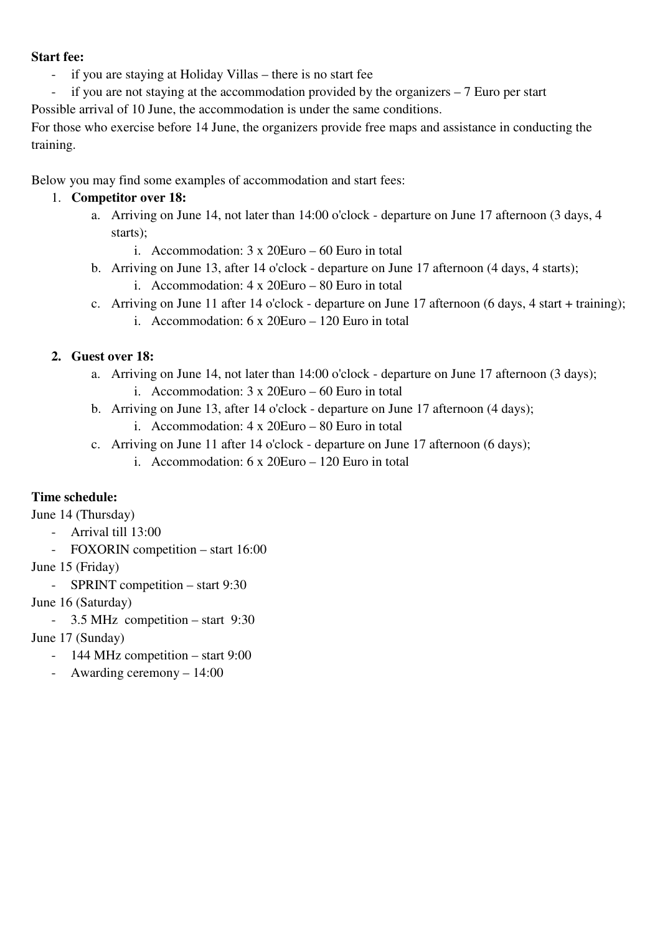#### **Start fee:**

- if you are staying at Holiday Villas there is no start fee
- if you are not staying at the accommodation provided by the organizers  $-7$  Euro per start
- Possible arrival of 10 June, the accommodation is under the same conditions.

For those who exercise before 14 June, the organizers provide free maps and assistance in conducting the training.

Below you may find some examples of accommodation and start fees:

## 1. **Competitor over 18:**

- a. Arriving on June 14, not later than 14:00 o'clock departure on June 17 afternoon (3 days, 4 starts);
	- i. Accommodation: 3 x 20Euro 60 Euro in total
- b. Arriving on June 13, after 14 o'clock departure on June 17 afternoon (4 days, 4 starts);
	- i. Accommodation: 4 x 20Euro 80 Euro in total
- c. Arriving on June 11 after 14 o'clock departure on June 17 afternoon (6 days, 4 start + training);
	- i. Accommodation: 6 x 20Euro 120 Euro in total

## **2. Guest over 18:**

- a. Arriving on June 14, not later than 14:00 o'clock departure on June 17 afternoon (3 days);
	- i. Accommodation: 3 x 20Euro 60 Euro in total
- b. Arriving on June 13, after 14 o'clock departure on June 17 afternoon (4 days); i. Accommodation: 4 x 20Euro – 80 Euro in total
- c. Arriving on June 11 after 14 o'clock departure on June 17 afternoon (6 days);
	- i. Accommodation: 6 x 20Euro 120 Euro in total

## **Time schedule:**

June 14 (Thursday)

- Arrival till 13:00
- FOXORIN competition start 16:00
- June 15 (Friday)
	- SPRINT competition start 9:30
- June 16 (Saturday)
	- 3.5 MHz competition start 9:30

June 17 (Sunday)

- 144 MHz competition start 9:00
- Awarding ceremony 14:00